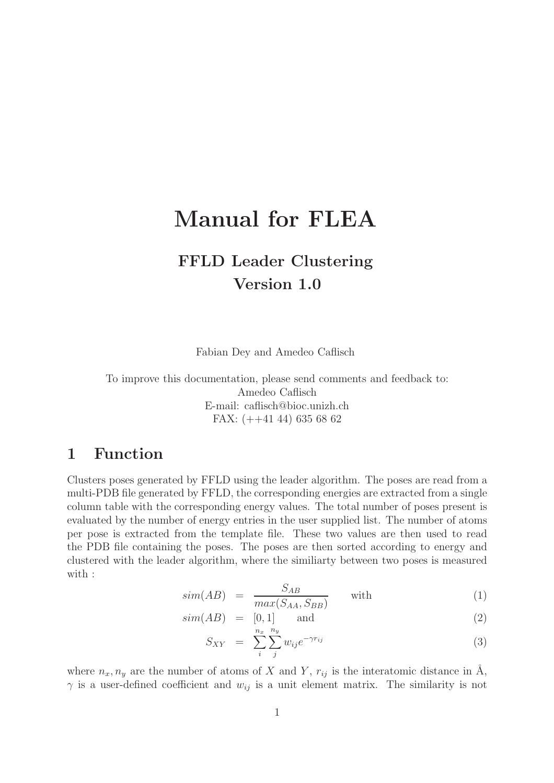# Manual for FLEA

## FFLD Leader Clustering Version 1.0

Fabian Dey and Amedeo Caflisch

To improve this documentation, please send comments and feedback to: Amedeo Caflisch E-mail: caflisch@bioc.unizh.ch FAX: (++41 44) 635 68 62

### 1 Function

Clusters poses generated by FFLD using the leader algorithm. The poses are read from a multi-PDB file generated by FFLD, the corresponding energies are extracted from a single column table with the corresponding energy values. The total number of poses present is evaluated by the number of energy entries in the user supplied list. The number of atoms per pose is extracted from the template file. These two values are then used to read the PDB file containing the poses. The poses are then sorted according to energy and clustered with the leader algorithm, where the similiarty between two poses is measured with :

$$
sim(AB) = \frac{S_{AB}}{max(S_{AA}, S_{BB})}
$$
 with (1)

 $sim(AB) = [0, 1]$  and (2)

$$
S_{XY} = \sum_{i}^{n_x} \sum_{j}^{n_y} w_{ij} e^{-\gamma r_{ij}} \tag{3}
$$

where  $n_x, n_y$  are the number of atoms of X and Y,  $r_{ij}$  is the interatomic distance in Å,  $\gamma$  is a user-defined coefficient and  $w_{ij}$  is a unit element matrix. The similarity is not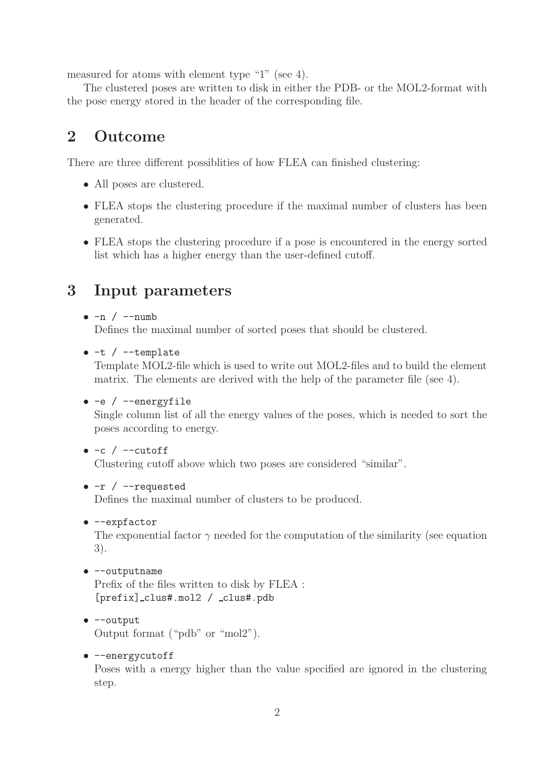measured for atoms with element type "1" (see 4).

The clustered poses are written to disk in either the PDB- or the MOL2-format with the pose energy stored in the header of the corresponding file.

### 2 Outcome

There are three different possiblities of how FLEA can finished clustering:

- All poses are clustered.
- FLEA stops the clustering procedure if the maximal number of clusters has been generated.
- FLEA stops the clustering procedure if a pose is encountered in the energy sorted list which has a higher energy than the user-defined cutoff.

### 3 Input parameters

#### $\bullet$  -n / --numb

Defines the maximal number of sorted poses that should be clustered.

 $\bullet$  -t / --template

Template MOL2-file which is used to write out MOL2-files and to build the element matrix. The elements are derived with the help of the parameter file (see 4).

• -e / --energyfile

Single column list of all the energy values of the poses, which is needed to sort the poses according to energy.

#### $\bullet$  -c / --cutoff

Clustering cutoff above which two poses are considered "similar".

#### $\bullet$  -r / --requested

Defines the maximal number of clusters to be produced.

• --expfactor

The exponential factor  $\gamma$  needed for the computation of the similarity (see equation 3).

• --outputname

Prefix of the files written to disk by FLEA : [prefix] clus#.mol2 / clus#.pdb

#### • --output

Output format ("pdb" or "mol2").

#### • --energycutoff

Poses with a energy higher than the value specified are ignored in the clustering step.